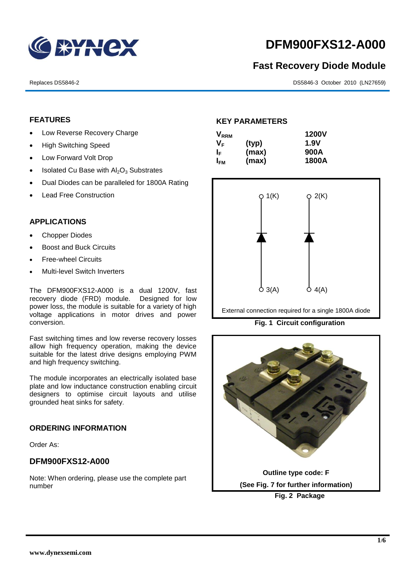

# **DFM900FXS12-A000**

## **Fast Recovery Diode Module**

Replaces DS5846-2 DS5846-3 October 2010 (LN27659)

## **FEATURES**

- Low Reverse Recovery Charge
- High Switching Speed
- Low Forward Volt Drop
- $\bullet$  Isolated Cu Base with  $Al_2O_3$  Substrates
- Dual Diodes can be paralleled for 1800A Rating
- Lead Free Construction

## **APPLICATIONS**

- Chopper Diodes
- Boost and Buck Circuits
- Free-wheel Circuits
- Multi-level Switch Inverters

The DFM900FXS12-A000 is a dual 1200V, fast recovery diode (FRD) module. Designed for low power loss, the module is suitable for a variety of high voltage applications in motor drives and power conversion.

Fast switching times and low reverse recovery losses allow high frequency operation, making the device suitable for the latest drive designs employing PWM and high frequency switching.

The module incorporates an electrically isolated base plate and low inductance construction enabling circuit designers to optimise circuit layouts and utilise grounded heat sinks for safety.

## **ORDERING INFORMATION**

Order As:

## **DFM900FXS12-A000**

Note: When ordering, please use the complete part number

## **KEY PARAMETERS**

| <b>V</b> <sub>RRM</sub> |       | <b>1200V</b> |
|-------------------------|-------|--------------|
| V <sub>F</sub>          | (typ) | 1.9V         |
| ΙF                      | (max) | 900A         |
| <b>I<sub>FM</sub></b>   | (max) | 1800A        |



External connection required for a single 1800A diode

**Fig. 1 Circuit configuration**

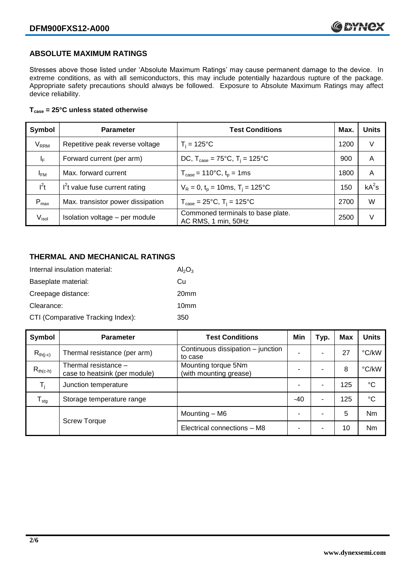## **ABSOLUTE MAXIMUM RATINGS**

Stresses above those listed under 'Absolute Maximum Ratings' may cause permanent damage to the device. In extreme conditions, as with all semiconductors, this may include potentially hazardous rupture of the package. Appropriate safety precautions should always be followed. Exposure to Absolute Maximum Ratings may affect device reliability.

### **Tcase = 25°C unless stated otherwise**

| Symbol                 | <b>Parameter</b>                  | <b>Test Conditions</b>                                     | Max. | <b>Units</b> |
|------------------------|-----------------------------------|------------------------------------------------------------|------|--------------|
| <b>V<sub>RRM</sub></b> | Repetitive peak reverse voltage   | $T_i = 125$ °C                                             | 1200 | V            |
| ΙF                     | Forward current (per arm)         | DC, $T_{\text{case}} = 75^{\circ}C$ , $T_i = 125^{\circ}C$ | 900  | A            |
| $I_{FM}$               | Max. forward current              | $T_{\text{case}} = 110^{\circ}C, t_{p} = 1ms$              | 1800 | A            |
| $I^2t$                 | $I2t$ value fuse current rating   | $V_R = 0$ , $t_p = 10$ ms, $T_i = 125$ °C                  | 150  | $kA^2s$      |
| $P_{\text{max}}$       | Max. transistor power dissipation | $T_{\text{case}} = 25^{\circ}C$ , $T_i = 125^{\circ}C$     | 2700 | W            |
| V <sub>isol</sub>      | Isolation voltage - per module    | Commoned terminals to base plate.<br>AC RMS, 1 min, 50Hz   | 2500 | V            |

## **THERMAL AND MECHANICAL RATINGS**

| Internal insulation material:     | $Al_2O_3$        |
|-----------------------------------|------------------|
| Baseplate material:               | Сu               |
| Creepage distance:                | 20 <sub>mm</sub> |
| Clearance:                        | 10 <sub>mm</sub> |
| CTI (Comparative Tracking Index): | 350              |

| Symbol                     | <b>Parameter</b>                                      | <b>Test Conditions</b>                        | Min   | Typ. | <b>Max</b> | <b>Units</b> |
|----------------------------|-------------------------------------------------------|-----------------------------------------------|-------|------|------------|--------------|
| $R_{th(i-c)}$              | Thermal resistance (per arm)                          | Continuous dissipation – junction<br>to case  |       | ۰    | 27         | °C/kW        |
| $R_{th(c-h)}$              | Thermal resistance -<br>case to heatsink (per module) | Mounting torque 5Nm<br>(with mounting grease) |       |      | 8          | °C/kW        |
| $T_i$                      | Junction temperature                                  |                                               |       | ۰    | 125        | $^{\circ}C$  |
| ${\mathsf T}_{\text{stg}}$ | Storage temperature range                             |                                               | $-40$ | -    | 125        | $^{\circ}C$  |
|                            |                                                       | Mounting – M6                                 |       | ۰    | 5          | <b>Nm</b>    |
|                            | <b>Screw Torque</b>                                   | Electrical connections - M8                   |       | -    | 10         | <b>Nm</b>    |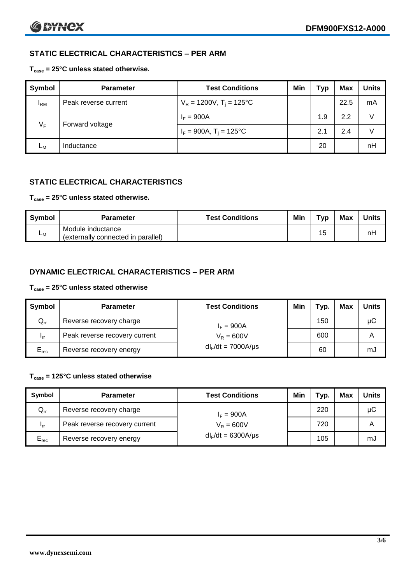## **STATIC ELECTRICAL CHARACTERISTICS – PER ARM**

## **Tcase = 25°C unless stated otherwise.**

| Symbol       | <b>Parameter</b>     | <b>Test Conditions</b>                 | Min | Typ | <b>Max</b> | <b>Units</b> |
|--------------|----------------------|----------------------------------------|-----|-----|------------|--------------|
| $I_{\rm RM}$ | Peak reverse current | $V_R = 1200V$ , T <sub>i</sub> = 125°C |     |     | 22.5       | mA           |
| $V_F$        | Forward voltage      | $I_F = 900A$                           |     | 1.9 | 2.2        | V            |
|              |                      | $I_F = 900A$ , $T_i = 125^{\circ}C$    |     | 2.1 | 2.4        | V            |
| Lм           | Inductance           |                                        |     | 20  |            | nH           |

## **STATIC ELECTRICAL CHARACTERISTICS**

## **Tcase = 25°C unless stated otherwise.**

| <b>Symbol</b> | <b>Parameter</b>                                        | <b>Test Conditions</b> | Min | Тур | <b>Max</b> | <b>Units</b> |
|---------------|---------------------------------------------------------|------------------------|-----|-----|------------|--------------|
| <b>L</b> M    | Module inductance<br>(externally connected in parallel) |                        |     | 15  |            | nH           |

## **DYNAMIC ELECTRICAL CHARACTERISTICS – PER ARM**

## **Tcase = 25°C unless stated otherwise**

| <b>Symbol</b>   | <b>Parameter</b>              | <b>Test Conditions</b>  | Min | Typ. | Max | Units |
|-----------------|-------------------------------|-------------------------|-----|------|-----|-------|
| $Q_{rr}$        | Reverse recovery charge       | $I_F = 900A$            |     | 150  |     | μC    |
| 1 <sub>rr</sub> | Peak reverse recovery current | $V_R = 600V$            |     | 600  |     | Α     |
| $E_{rec}$       | Reverse recovery energy       | $dl_F/dt = 7000A/\mu s$ |     | 60   |     | mJ    |

## **Tcase = 125°C unless stated otherwise**

| Symbol                     | <b>Parameter</b>                              | <b>Test Conditions</b>  | Min | Typ. | Max | Units |
|----------------------------|-----------------------------------------------|-------------------------|-----|------|-----|-------|
| $\mathsf{Q}_{\mathsf{rr}}$ | Reverse recovery charge                       | $I_F = 900A$            |     | 220  |     | μC    |
| - Irr                      | Peak reverse recovery current<br>$V_R = 600V$ |                         |     | 720  |     | Α     |
| $E_{rec}$                  | Reverse recovery energy                       | $dl_F/dt = 6300A/\mu s$ |     | 105  |     | mJ    |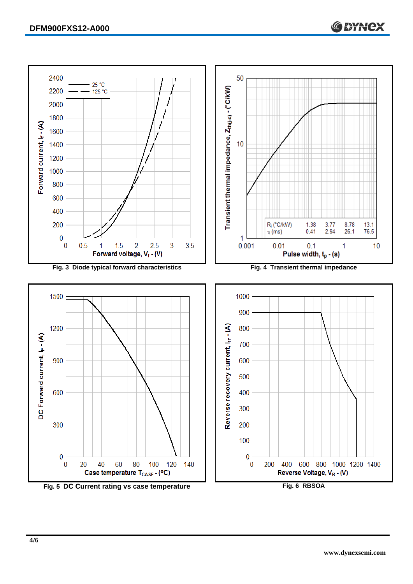

**Fig. 5 DC Current rating vs case temperature Fig. 6 RBSOA**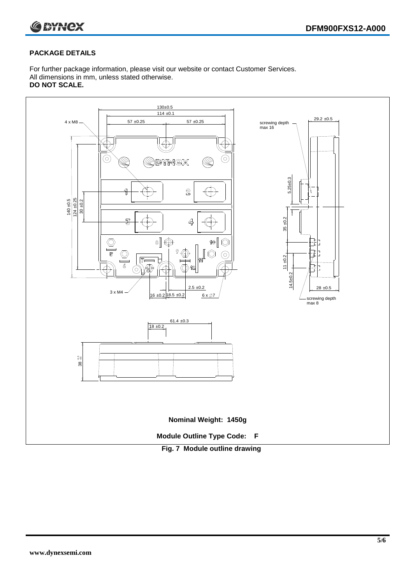



## **PACKAGE DETAILS**

For further package information, please visit our website or contact Customer Services. All dimensions in mm, unless stated otherwise. **DO NOT SCALE.**